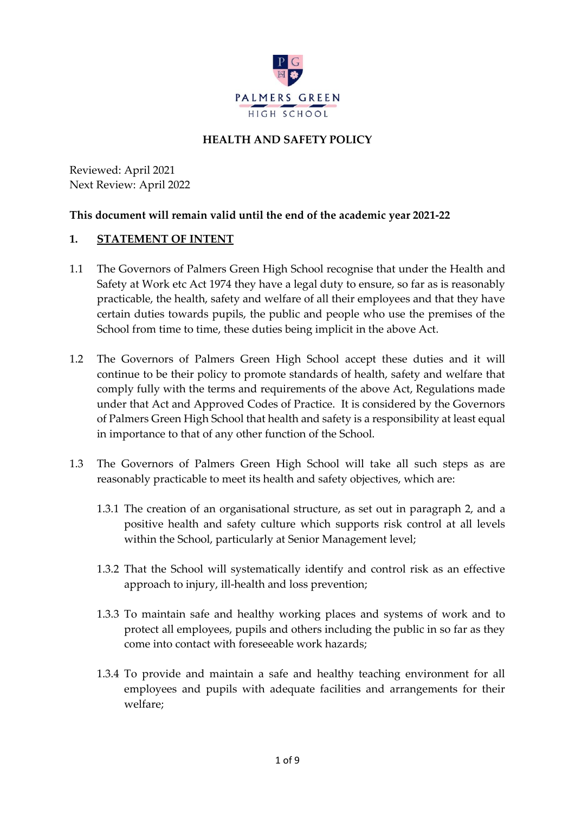

## **HEALTH AND SAFETY POLICY**

Reviewed: April 2021 Next Review: April 2022

#### **This document will remain valid until the end of the academic year 2021-22**

#### **1. STATEMENT OF INTENT**

- 1.1 The Governors of Palmers Green High School recognise that under the Health and Safety at Work etc Act 1974 they have a legal duty to ensure, so far as is reasonably practicable, the health, safety and welfare of all their employees and that they have certain duties towards pupils, the public and people who use the premises of the School from time to time, these duties being implicit in the above Act.
- 1.2 The Governors of Palmers Green High School accept these duties and it will continue to be their policy to promote standards of health, safety and welfare that comply fully with the terms and requirements of the above Act, Regulations made under that Act and Approved Codes of Practice. It is considered by the Governors of Palmers Green High School that health and safety is a responsibility at least equal in importance to that of any other function of the School.
- 1.3 The Governors of Palmers Green High School will take all such steps as are reasonably practicable to meet its health and safety objectives, which are:
	- 1.3.1 The creation of an organisational structure, as set out in paragraph 2, and a positive health and safety culture which supports risk control at all levels within the School, particularly at Senior Management level;
	- 1.3.2 That the School will systematically identify and control risk as an effective approach to injury, ill-health and loss prevention;
	- 1.3.3 To maintain safe and healthy working places and systems of work and to protect all employees, pupils and others including the public in so far as they come into contact with foreseeable work hazards;
	- 1.3.4 To provide and maintain a safe and healthy teaching environment for all employees and pupils with adequate facilities and arrangements for their welfare;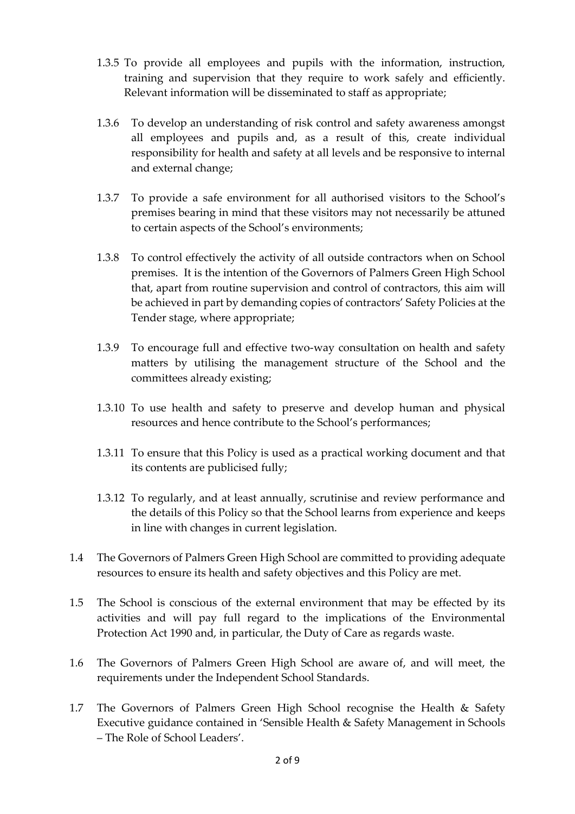- 1.3.5 To provide all employees and pupils with the information, instruction, training and supervision that they require to work safely and efficiently. Relevant information will be disseminated to staff as appropriate;
- 1.3.6 To develop an understanding of risk control and safety awareness amongst all employees and pupils and, as a result of this, create individual responsibility for health and safety at all levels and be responsive to internal and external change;
- 1.3.7 To provide a safe environment for all authorised visitors to the School's premises bearing in mind that these visitors may not necessarily be attuned to certain aspects of the School's environments;
- 1.3.8 To control effectively the activity of all outside contractors when on School premises. It is the intention of the Governors of Palmers Green High School that, apart from routine supervision and control of contractors, this aim will be achieved in part by demanding copies of contractors' Safety Policies at the Tender stage, where appropriate;
- 1.3.9 To encourage full and effective two-way consultation on health and safety matters by utilising the management structure of the School and the committees already existing;
- 1.3.10 To use health and safety to preserve and develop human and physical resources and hence contribute to the School's performances;
- 1.3.11 To ensure that this Policy is used as a practical working document and that its contents are publicised fully;
- 1.3.12 To regularly, and at least annually, scrutinise and review performance and the details of this Policy so that the School learns from experience and keeps in line with changes in current legislation.
- 1.4 The Governors of Palmers Green High School are committed to providing adequate resources to ensure its health and safety objectives and this Policy are met.
- 1.5 The School is conscious of the external environment that may be effected by its activities and will pay full regard to the implications of the Environmental Protection Act 1990 and, in particular, the Duty of Care as regards waste.
- 1.6 The Governors of Palmers Green High School are aware of, and will meet, the requirements under the Independent School Standards.
- 1.7 The Governors of Palmers Green High School recognise the Health & Safety Executive guidance contained in 'Sensible Health & Safety Management in Schools – The Role of School Leaders'.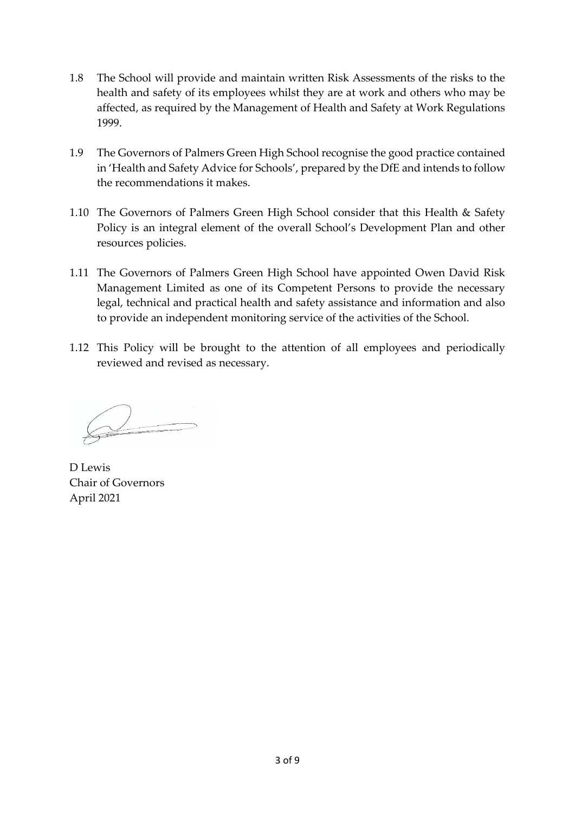- 1.8 The School will provide and maintain written Risk Assessments of the risks to the health and safety of its employees whilst they are at work and others who may be affected, as required by the Management of Health and Safety at Work Regulations 1999.
- 1.9 The Governors of Palmers Green High School recognise the good practice contained in 'Health and Safety Advice for Schools', prepared by the DfE and intends to follow the recommendations it makes.
- 1.10 The Governors of Palmers Green High School consider that this Health & Safety Policy is an integral element of the overall School's Development Plan and other resources policies.
- 1.11 The Governors of Palmers Green High School have appointed Owen David Risk Management Limited as one of its Competent Persons to provide the necessary legal, technical and practical health and safety assistance and information and also to provide an independent monitoring service of the activities of the School.
- 1.12 This Policy will be brought to the attention of all employees and periodically reviewed and revised as necessary.

 $\bigcirc$ 

D Lewis Chair of Governors April 2021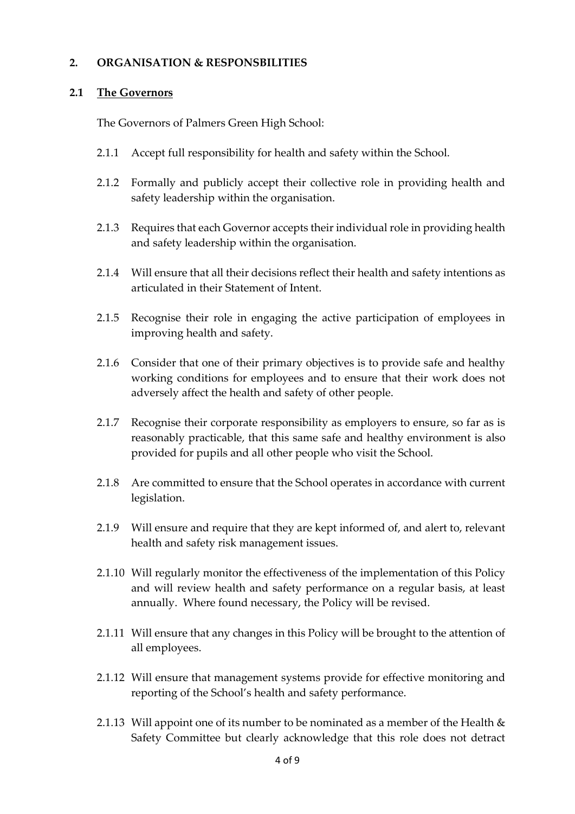#### **2. ORGANISATION & RESPONSBILITIES**

#### **2.1 The Governors**

The Governors of Palmers Green High School:

- 2.1.1 Accept full responsibility for health and safety within the School.
- 2.1.2 Formally and publicly accept their collective role in providing health and safety leadership within the organisation.
- 2.1.3 Requires that each Governor accepts their individual role in providing health and safety leadership within the organisation.
- 2.1.4 Will ensure that all their decisions reflect their health and safety intentions as articulated in their Statement of Intent.
- 2.1.5 Recognise their role in engaging the active participation of employees in improving health and safety.
- 2.1.6 Consider that one of their primary objectives is to provide safe and healthy working conditions for employees and to ensure that their work does not adversely affect the health and safety of other people.
- 2.1.7 Recognise their corporate responsibility as employers to ensure, so far as is reasonably practicable, that this same safe and healthy environment is also provided for pupils and all other people who visit the School.
- 2.1.8 Are committed to ensure that the School operates in accordance with current legislation.
- 2.1.9 Will ensure and require that they are kept informed of, and alert to, relevant health and safety risk management issues.
- 2.1.10 Will regularly monitor the effectiveness of the implementation of this Policy and will review health and safety performance on a regular basis, at least annually. Where found necessary, the Policy will be revised.
- 2.1.11 Will ensure that any changes in this Policy will be brought to the attention of all employees.
- 2.1.12 Will ensure that management systems provide for effective monitoring and reporting of the School's health and safety performance.
- 2.1.13 Will appoint one of its number to be nominated as a member of the Health  $\&$ Safety Committee but clearly acknowledge that this role does not detract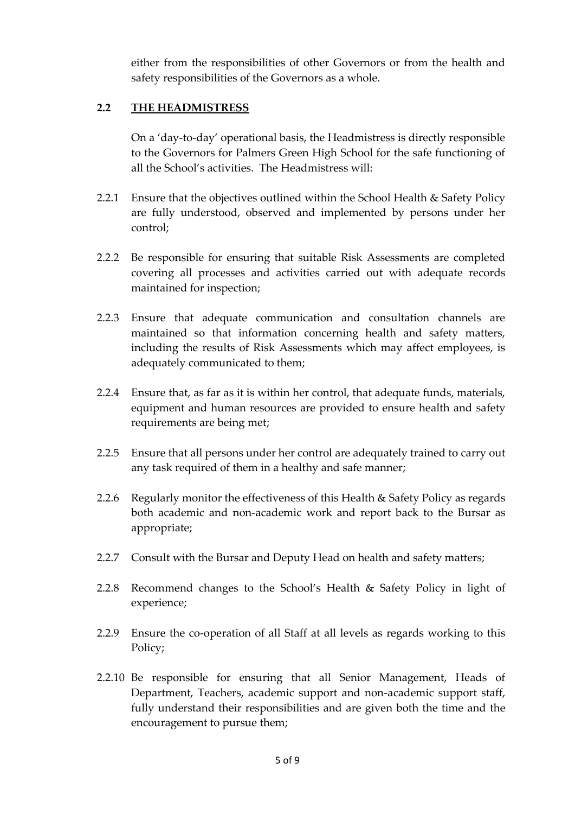either from the responsibilities of other Governors or from the health and safety responsibilities of the Governors as a whole.

#### **2.2 THE HEADMISTRESS**

On a 'day-to-day' operational basis, the Headmistress is directly responsible to the Governors for Palmers Green High School for the safe functioning of all the School's activities. The Headmistress will:

- 2.2.1 Ensure that the objectives outlined within the School Health & Safety Policy are fully understood, observed and implemented by persons under her control;
- 2.2.2 Be responsible for ensuring that suitable Risk Assessments are completed covering all processes and activities carried out with adequate records maintained for inspection;
- 2.2.3 Ensure that adequate communication and consultation channels are maintained so that information concerning health and safety matters, including the results of Risk Assessments which may affect employees, is adequately communicated to them;
- 2.2.4 Ensure that, as far as it is within her control, that adequate funds, materials, equipment and human resources are provided to ensure health and safety requirements are being met;
- 2.2.5 Ensure that all persons under her control are adequately trained to carry out any task required of them in a healthy and safe manner;
- 2.2.6 Regularly monitor the effectiveness of this Health & Safety Policy as regards both academic and non-academic work and report back to the Bursar as appropriate;
- 2.2.7 Consult with the Bursar and Deputy Head on health and safety matters;
- 2.2.8 Recommend changes to the School's Health & Safety Policy in light of experience;
- 2.2.9 Ensure the co-operation of all Staff at all levels as regards working to this Policy;
- 2.2.10 Be responsible for ensuring that all Senior Management, Heads of Department, Teachers, academic support and non-academic support staff, fully understand their responsibilities and are given both the time and the encouragement to pursue them;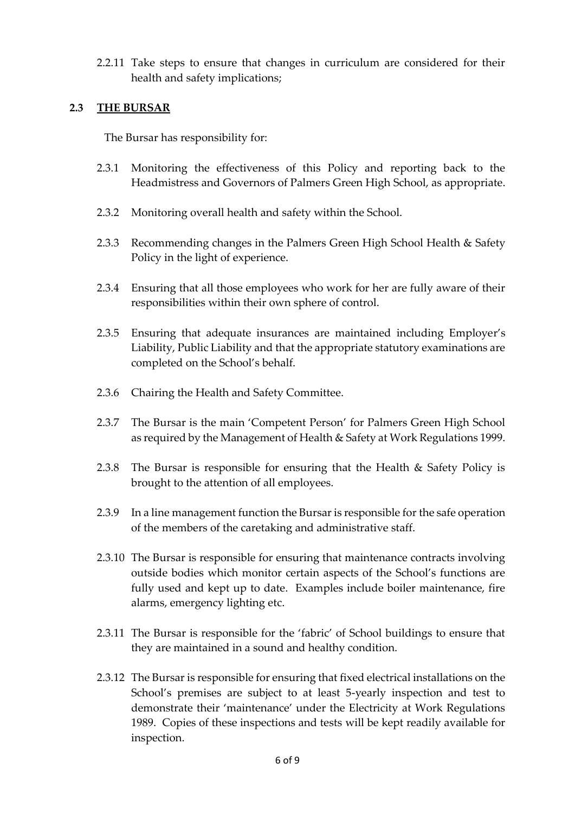2.2.11 Take steps to ensure that changes in curriculum are considered for their health and safety implications;

#### **2.3 THE BURSAR**

The Bursar has responsibility for:

- 2.3.1 Monitoring the effectiveness of this Policy and reporting back to the Headmistress and Governors of Palmers Green High School, as appropriate.
- 2.3.2 Monitoring overall health and safety within the School.
- 2.3.3 Recommending changes in the Palmers Green High School Health & Safety Policy in the light of experience.
- 2.3.4 Ensuring that all those employees who work for her are fully aware of their responsibilities within their own sphere of control.
- 2.3.5 Ensuring that adequate insurances are maintained including Employer's Liability, Public Liability and that the appropriate statutory examinations are completed on the School's behalf.
- 2.3.6 Chairing the Health and Safety Committee.
- 2.3.7 The Bursar is the main 'Competent Person' for Palmers Green High School as required by the Management of Health & Safety at Work Regulations 1999.
- 2.3.8 The Bursar is responsible for ensuring that the Health & Safety Policy is brought to the attention of all employees.
- 2.3.9 In a line management function the Bursar is responsible for the safe operation of the members of the caretaking and administrative staff.
- 2.3.10 The Bursar is responsible for ensuring that maintenance contracts involving outside bodies which monitor certain aspects of the School's functions are fully used and kept up to date. Examples include boiler maintenance, fire alarms, emergency lighting etc.
- 2.3.11 The Bursar is responsible for the 'fabric' of School buildings to ensure that they are maintained in a sound and healthy condition.
- 2.3.12 The Bursar is responsible for ensuring that fixed electrical installations on the School's premises are subject to at least 5-yearly inspection and test to demonstrate their 'maintenance' under the Electricity at Work Regulations 1989. Copies of these inspections and tests will be kept readily available for inspection.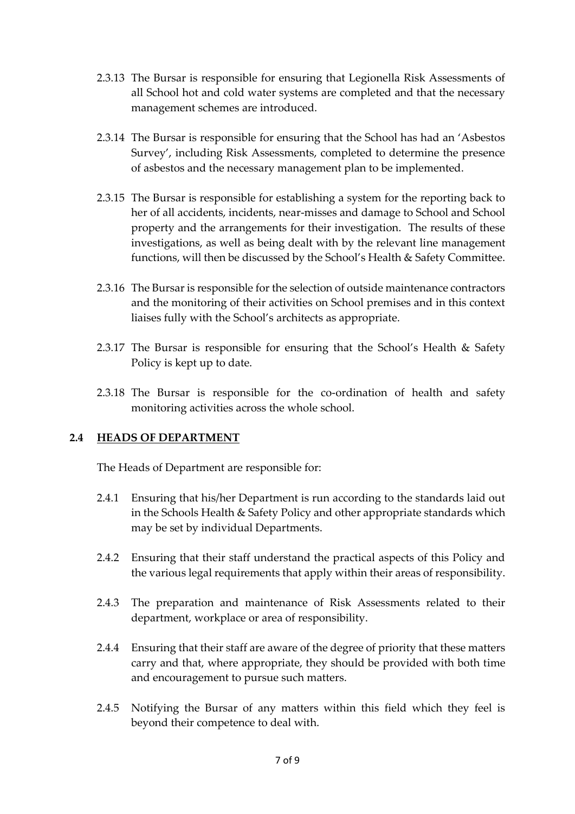- 2.3.13 The Bursar is responsible for ensuring that Legionella Risk Assessments of all School hot and cold water systems are completed and that the necessary management schemes are introduced.
- 2.3.14 The Bursar is responsible for ensuring that the School has had an 'Asbestos Survey', including Risk Assessments, completed to determine the presence of asbestos and the necessary management plan to be implemented.
- 2.3.15 The Bursar is responsible for establishing a system for the reporting back to her of all accidents, incidents, near-misses and damage to School and School property and the arrangements for their investigation. The results of these investigations, as well as being dealt with by the relevant line management functions, will then be discussed by the School's Health & Safety Committee.
- 2.3.16 The Bursar is responsible for the selection of outside maintenance contractors and the monitoring of their activities on School premises and in this context liaises fully with the School's architects as appropriate.
- 2.3.17 The Bursar is responsible for ensuring that the School's Health & Safety Policy is kept up to date.
- 2.3.18 The Bursar is responsible for the co-ordination of health and safety monitoring activities across the whole school.

# **2.4 HEADS OF DEPARTMENT**

The Heads of Department are responsible for:

- 2.4.1 Ensuring that his/her Department is run according to the standards laid out in the Schools Health & Safety Policy and other appropriate standards which may be set by individual Departments.
- 2.4.2 Ensuring that their staff understand the practical aspects of this Policy and the various legal requirements that apply within their areas of responsibility.
- 2.4.3 The preparation and maintenance of Risk Assessments related to their department, workplace or area of responsibility.
- 2.4.4 Ensuring that their staff are aware of the degree of priority that these matters carry and that, where appropriate, they should be provided with both time and encouragement to pursue such matters.
- 2.4.5 Notifying the Bursar of any matters within this field which they feel is beyond their competence to deal with.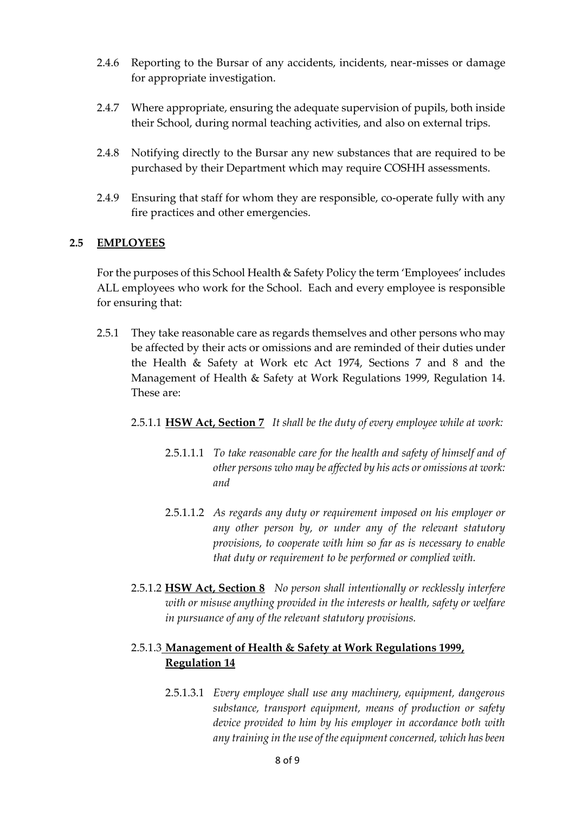- 2.4.6 Reporting to the Bursar of any accidents, incidents, near-misses or damage for appropriate investigation.
- 2.4.7 Where appropriate, ensuring the adequate supervision of pupils, both inside their School, during normal teaching activities, and also on external trips.
- 2.4.8 Notifying directly to the Bursar any new substances that are required to be purchased by their Department which may require COSHH assessments.
- 2.4.9 Ensuring that staff for whom they are responsible, co-operate fully with any fire practices and other emergencies.

#### **2.5 EMPLOYEES**

For the purposes of this School Health & Safety Policy the term 'Employees' includes ALL employees who work for the School. Each and every employee is responsible for ensuring that:

- 2.5.1 They take reasonable care as regards themselves and other persons who may be affected by their acts or omissions and are reminded of their duties under the Health & Safety at Work etc Act 1974, Sections 7 and 8 and the Management of Health & Safety at Work Regulations 1999, Regulation 14. These are:
	- 2.5.1.1 **HSW Act, Section 7** *It shall be the duty of every employee while at work:*
		- 2.5.1.1.1 *To take reasonable care for the health and safety of himself and of other persons who may be affected by his acts or omissions at work: and*
		- 2.5.1.1.2 *As regards any duty or requirement imposed on his employer or any other person by, or under any of the relevant statutory provisions, to cooperate with him so far as is necessary to enable that duty or requirement to be performed or complied with.*
	- 2.5.1.2 **HSW Act, Section 8** *No person shall intentionally or recklessly interfere with or misuse anything provided in the interests or health, safety or welfare in pursuance of any of the relevant statutory provisions.*

### 2.5.1.3 **Management of Health & Safety at Work Regulations 1999, Regulation 14**

2.5.1.3.1 *Every employee shall use any machinery, equipment, dangerous substance, transport equipment, means of production or safety device provided to him by his employer in accordance both with any training in the use of the equipment concerned, which has been*